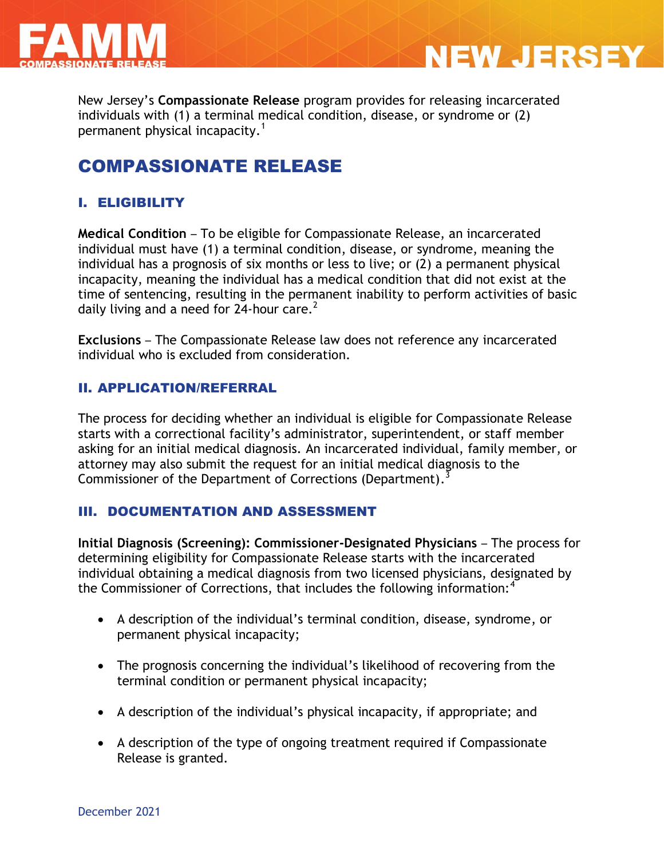

New Jersey's **Compassionate Release** program provides for releasing incarcerated individuals with (1) a terminal medical condition, disease, or syndrome or (2) permanent physical incapacity.<sup>1</sup>

**NEW JERSEY** 

# COMPASSIONATE RELEASE

## I. ELIGIBILITY

**Medical Condition** – To be eligible for Compassionate Release, an incarcerated individual must have (1) a terminal condition, disease, or syndrome, meaning the individual has a prognosis of six months or less to live; or (2) a permanent physical incapacity, meaning the individual has a medical condition that did not exist at the time of sentencing, resulting in the permanent inability to perform activities of basic daily living and a need for 24-hour care.<sup>2</sup>

**Exclusions** – The Compassionate Release law does not reference any incarcerated individual who is excluded from consideration.

#### II. APPLICATION/REFERRAL

The process for deciding whether an individual is eligible for Compassionate Release starts with a correctional facility's administrator, superintendent, or staff member asking for an initial medical diagnosis. An incarcerated individual, family member, or attorney may also submit the request for an initial medical diagnosis to the Commissioner of the Department of Corrections (Department).<sup>3</sup>

#### III. DOCUMENTATION AND ASSESSMENT

**Initial Diagnosis (Screening): Commissioner-Designated Physicians** – The process for determining eligibility for Compassionate Release starts with the incarcerated individual obtaining a medical diagnosis from two licensed physicians, designated by the Commissioner of Corrections, that includes the following information:<sup>4</sup>

- A description of the individual's terminal condition, disease, syndrome, or permanent physical incapacity;
- The prognosis concerning the individual's likelihood of recovering from the terminal condition or permanent physical incapacity;
- A description of the individual's physical incapacity, if appropriate; and
- A description of the type of ongoing treatment required if Compassionate Release is granted.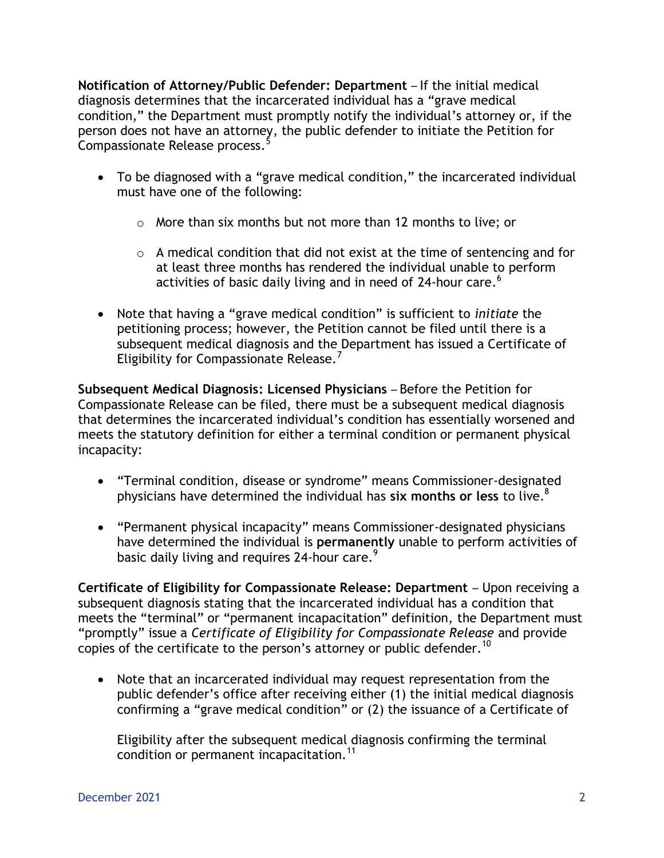**Notification of Attorney/Public Defender: Department** – If the initial medical diagnosis determines that the incarcerated individual has a "grave medical condition," the Department must promptly notify the individual's attorney or, if the person does not have an attorney, the public defender to initiate the Petition for Compassionate Release process.<sup>5</sup>

- To be diagnosed with a "grave medical condition," the incarcerated individual must have one of the following:
	- o More than six months but not more than 12 months to live; or
	- $\circ$  A medical condition that did not exist at the time of sentencing and for at least three months has rendered the individual unable to perform activities of basic daily living and in need of 24-hour care.<sup>6</sup>
- Note that having a "grave medical condition" is sufficient to *initiate* the petitioning process; however, the Petition cannot be filed until there is a subsequent medical diagnosis and the Department has issued a Certificate of Eligibility for Compassionate Release.<sup>7</sup>

**Subsequent Medical Diagnosis: Licensed Physicians** – Before the Petition for Compassionate Release can be filed, there must be a subsequent medical diagnosis that determines the incarcerated individual's condition has essentially worsened and meets the statutory definition for either a terminal condition or permanent physical incapacity:

- "Terminal condition, disease or syndrome" means Commissioner-designated physicians have determined the individual has **six months or less** to live.<sup>8</sup>
- "Permanent physical incapacity" means Commissioner-designated physicians have determined the individual is **permanently** unable to perform activities of basic daily living and requires 24-hour care. $9$

**Certificate of Eligibility for Compassionate Release: Department** – Upon receiving a subsequent diagnosis stating that the incarcerated individual has a condition that meets the "terminal" or "permanent incapacitation" definition, the Department must "promptly" issue a *Certificate of Eligibility for Compassionate Release* and provide copies of the certificate to the person's attorney or public defender.<sup>10</sup>

 Note that an incarcerated individual may request representation from the public defender's office after receiving either (1) the initial medical diagnosis confirming a "grave medical condition" or (2) the issuance of a Certificate of

Eligibility after the subsequent medical diagnosis confirming the terminal condition or permanent incapacitation.<sup>11</sup>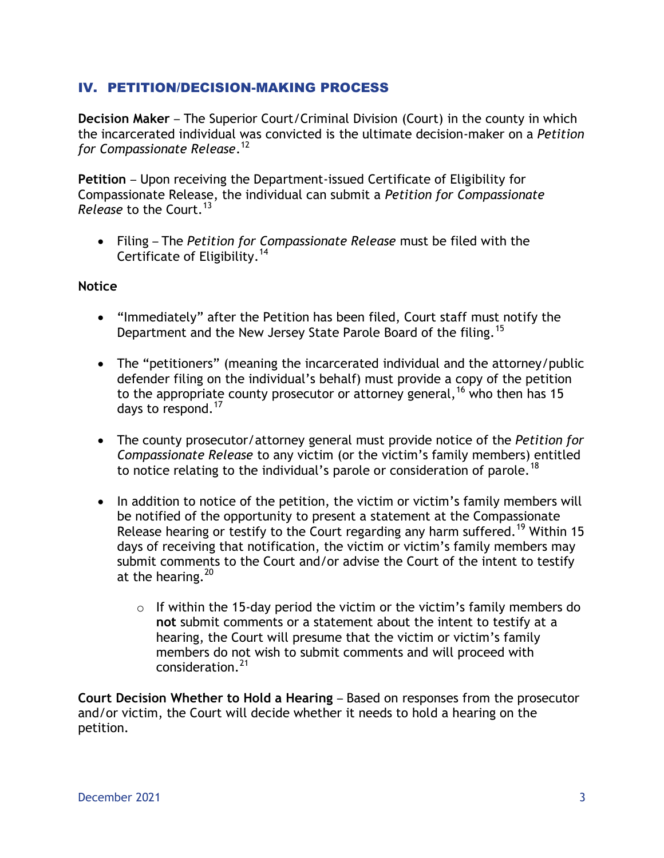#### IV. PETITION/DECISION-MAKING PROCESS

**Decision Maker** – The Superior Court/Criminal Division (Court) in the county in which the incarcerated individual was convicted is the ultimate decision-maker on a *Petition for Compassionate Release*. 12

**Petition** – Upon receiving the Department-issued Certificate of Eligibility for Compassionate Release, the individual can submit a *Petition for Compassionate Release* to the Court.<sup>13</sup>

 Filing – The *Petition for Compassionate Release* must be filed with the Certificate of Eligibility.<sup>14</sup>

#### **Notice**

- "Immediately" after the Petition has been filed, Court staff must notify the Department and the New Jersey State Parole Board of the filing.<sup>15</sup>
- The "petitioners" (meaning the incarcerated individual and the attorney/public defender filing on the individual's behalf) must provide a copy of the petition to the appropriate county prosecutor or attorney general,  $16$  who then has 15 days to respond.<sup>17</sup>
- The county prosecutor/attorney general must provide notice of the *Petition for Compassionate Release* to any victim (or the victim's family members) entitled to notice relating to the individual's parole or consideration of parole.<sup>18</sup>
- In addition to notice of the petition, the victim or victim's family members will be notified of the opportunity to present a statement at the Compassionate Release hearing or testify to the Court regarding any harm suffered.<sup>19</sup> Within 15 days of receiving that notification, the victim or victim's family members may submit comments to the Court and/or advise the Court of the intent to testify at the hearing.<sup>20</sup>
	- $\circ$  If within the 15-day period the victim or the victim's family members do **not** submit comments or a statement about the intent to testify at a hearing, the Court will presume that the victim or victim's family members do not wish to submit comments and will proceed with consideration.<sup>21</sup>

**Court Decision Whether to Hold a Hearing** – Based on responses from the prosecutor and/or victim, the Court will decide whether it needs to hold a hearing on the petition.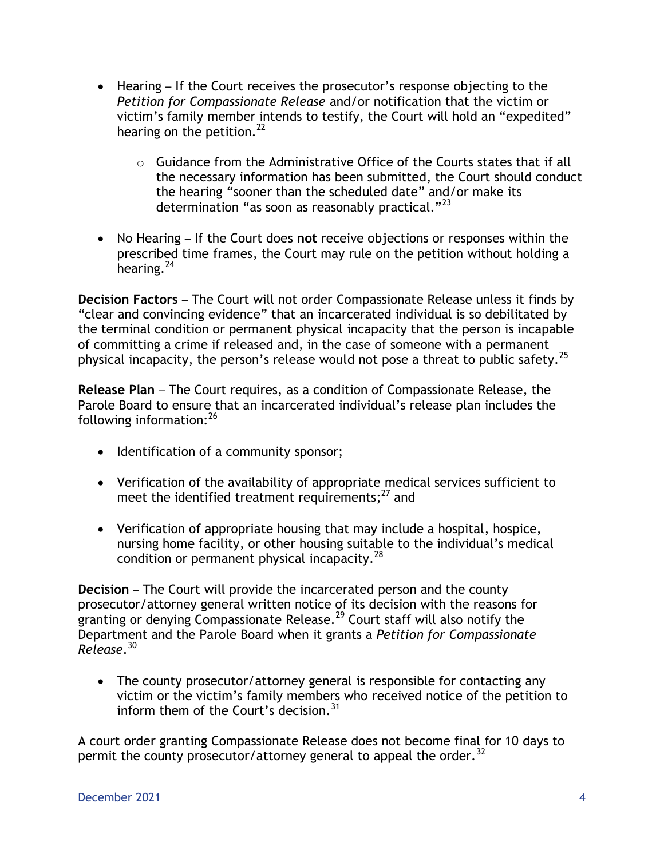- Hearing If the Court receives the prosecutor's response objecting to the *Petition for Compassionate Release* and/or notification that the victim or victim's family member intends to testify, the Court will hold an "expedited" hearing on the petition.<sup>22</sup>
	- $\circ$  Guidance from the Administrative Office of the Courts states that if all the necessary information has been submitted, the Court should conduct the hearing "sooner than the scheduled date" and/or make its determination "as soon as reasonably practical."<sup>23</sup>
- No Hearing If the Court does **not** receive objections or responses within the prescribed time frames, the Court may rule on the petition without holding a hearing. $24$

**Decision Factors** – The Court will not order Compassionate Release unless it finds by "clear and convincing evidence" that an incarcerated individual is so debilitated by the terminal condition or permanent physical incapacity that the person is incapable of committing a crime if released and, in the case of someone with a permanent physical incapacity, the person's release would not pose a threat to public safety.<sup>25</sup>

**Release Plan** – The Court requires, as a condition of Compassionate Release, the Parole Board to ensure that an incarcerated individual's release plan includes the following information:<sup>26</sup>

- Identification of a community sponsor;
- Verification of the availability of appropriate medical services sufficient to meet the identified treatment requirements; $^{27}$  and
- Verification of appropriate housing that may include a hospital, hospice, nursing home facility, or other housing suitable to the individual's medical condition or permanent physical incapacity. $^{28}$

**Decision** – The Court will provide the incarcerated person and the county prosecutor/attorney general written notice of its decision with the reasons for granting or denying Compassionate Release.<sup>29</sup> Court staff will also notify the Department and the Parole Board when it grants a *Petition for Compassionate Release*. 30

• The county prosecutor/attorney general is responsible for contacting any victim or the victim's family members who received notice of the petition to inform them of the Court's decision.<sup>31</sup>

A court order granting Compassionate Release does not become final for 10 days to permit the county prosecutor/attorney general to appeal the order.<sup>32</sup>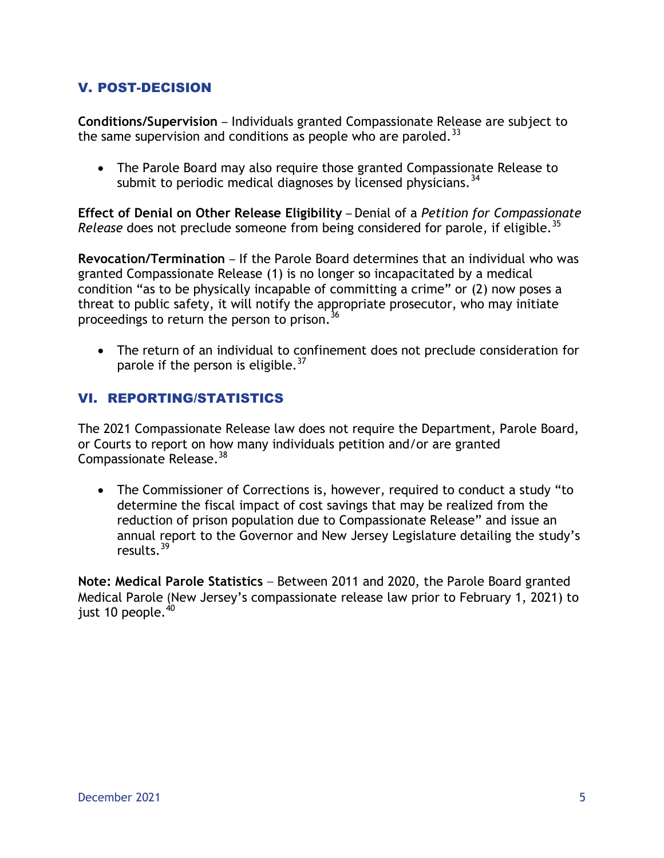### V. POST-DECISION

**Conditions/Supervision** – Individuals granted Compassionate Release are subject to the same supervision and conditions as people who are paroled. $33$ 

• The Parole Board may also require those granted Compassionate Release to submit to periodic medical diagnoses by licensed physicians.  $34$ 

**Effect of Denial on Other Release Eligibility** – Denial of a *Petition for Compassionate Release* does not preclude someone from being considered for parole, if eligible.<sup>35</sup>

**Revocation/Termination** – If the Parole Board determines that an individual who was granted Compassionate Release (1) is no longer so incapacitated by a medical condition "as to be physically incapable of committing a crime" or (2) now poses a threat to public safety, it will notify the appropriate prosecutor, who may initiate proceedings to return the person to prison.<sup>36</sup>

 The return of an individual to confinement does not preclude consideration for parole if the person is eligible.<sup>37</sup>

### VI. REPORTING/STATISTICS

The 2021 Compassionate Release law does not require the Department, Parole Board, or Courts to report on how many individuals petition and/or are granted Compassionate Release.<sup>38</sup>

• The Commissioner of Corrections is, however, required to conduct a study "to determine the fiscal impact of cost savings that may be realized from the reduction of prison population due to Compassionate Release" and issue an annual report to the Governor and New Jersey Legislature detailing the study's results.<sup>39</sup>

**Note: Medical Parole Statistics** – Between 2011 and 2020, the Parole Board granted Medical Parole (New Jersey's compassionate release law prior to February 1, 2021) to just 10 people. $40$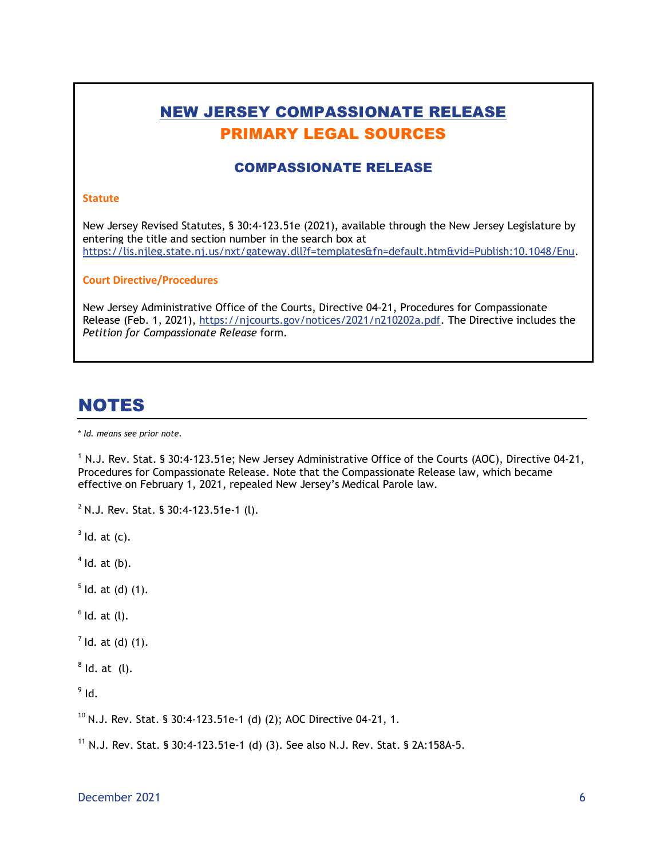# NEW JERSEY COMPASSIONATE RELEASE PRIMARY LEGAL SOURCES

#### COMPASSIONATE RELEASE

#### **Statute**

New Jersey Revised Statutes, § 30:4-123.51e (2021), available through the New Jersey Legislature by entering the title and section number in the search box at [https://lis.njleg.state.nj.us/nxt/gateway.dll?f=templates&fn=default.htm&vid=Publish:10.1048/Enu.](https://lis.njleg.state.nj.us/nxt/gateway.dll?f=templates&fn=default.htm&vid=Publish:10.1048/Enu)

#### **Court Directive/Procedures**

New Jersey Administrative Office of the Courts, Directive 04-21, Procedures for Compassionate Release (Feb. 1, 2021), [https://njcourts.gov/notices/2021/n210202a.pdf.](https://njcourts.gov/notices/2021/n210202a.pdf) The Directive includes the *Petition for Compassionate Release* form.

# NOTES

\* *Id. means see prior note.*

<sup>1</sup> N.J. Rev. Stat. § 30:4-123.51e; New Jersey Administrative Office of the Courts (AOC), Directive 04-21, Procedures for Compassionate Release. Note that the Compassionate Release law, which became effective on February 1, 2021, repealed New Jersey's Medical Parole law.

 $2$  N.J. Rev. Stat. § 30:4-123.51e-1 (l).

 $3$  ld. at (c).

 $<sup>4</sup>$  ld. at (b).</sup>

 $5$  ld. at (d) (1).

 $<sup>6</sup>$  ld. at (l).</sup>

 $<sup>7</sup>$  ld. at (d) (1).</sup>

 $8$  ld. at (l).

 $^9$  Id.

 $10$  N.J. Rev. Stat. § 30:4-123.51e-1 (d) (2); AOC Directive 04-21, 1.

<sup>11</sup> N.J. Rev. Stat. § 30:4-123.51e-1 (d) (3). See also N.J. Rev. Stat. § 2A:158A-5.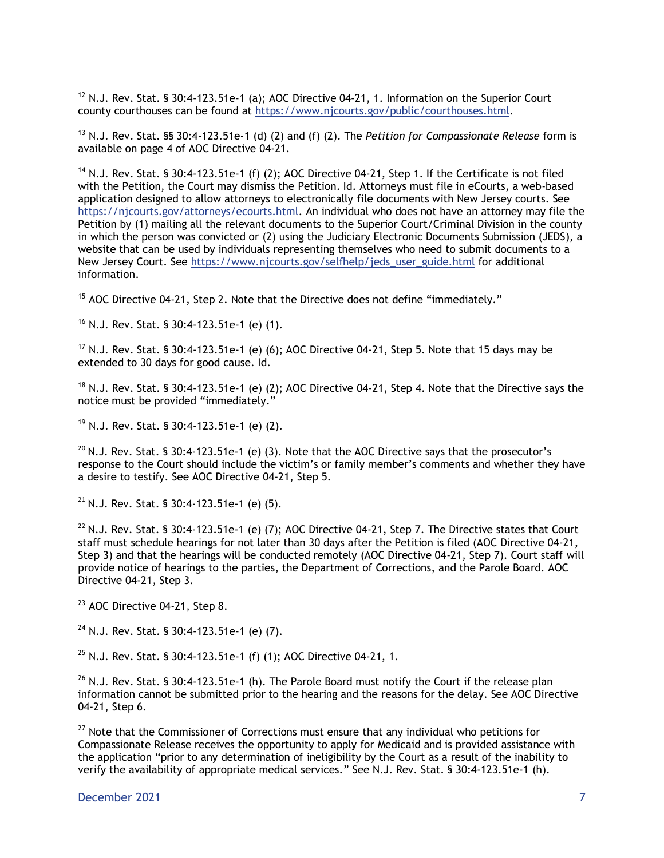$12$  N.J. Rev. Stat. § 30:4-123.51e-1 (a); AOC Directive 04-21, 1. Information on the Superior Court county courthouses can be found at [https://www.njcourts.gov/public/courthouses.html.](https://www.njcourts.gov/public/courthouses.html)

<sup>13</sup> N.J. Rev. Stat. §§ 30:4-123.51e-1 (d) (2) and (f) (2). The *Petition for Compassionate Release* form is available on page 4 of AOC Directive 04-21.

<sup>14</sup> N.J. Rev. Stat. § 30:4-123.51e-1 (f) (2); AOC Directive 04-21, Step 1. If the Certificate is not filed with the Petition, the Court may dismiss the Petition. Id. Attorneys must file in eCourts, a web-based application designed to allow attorneys to electronically file documents with New Jersey courts. See [https://njcourts.gov/attorneys/ecourts.html.](https://njcourts.gov/attorneys/ecourts.html) An individual who does not have an attorney may file the Petition by (1) mailing all the relevant documents to the Superior Court/Criminal Division in the county in which the person was convicted or (2) using the Judiciary Electronic Documents Submission (JEDS), a website that can be used by individuals representing themselves who need to submit documents to a New Jersey Court. See [https://www.njcourts.gov/selfhelp/jeds\\_user\\_guide.html](https://www.njcourts.gov/selfhelp/jeds_user_guide.html) for additional information.

 $15$  AOC Directive 04-21, Step 2. Note that the Directive does not define "immediately."

 $16$  N.J. Rev. Stat. § 30:4-123.51e-1 (e) (1).

<sup>17</sup> N.J. Rev. Stat. § 30:4-123.51e-1 (e) (6); AOC Directive 04-21, Step 5. Note that 15 days may be extended to 30 days for good cause. Id.

<sup>18</sup> N.J. Rev. Stat. § 30:4-123.51e-1 (e) (2); AOC Directive 04-21, Step 4. Note that the Directive says the notice must be provided "immediately."

<sup>19</sup> N.J. Rev. Stat. § 30:4-123.51e-1 (e) (2).

 $^{20}$  N.J. Rev. Stat. § 30:4-123.51e-1 (e) (3). Note that the AOC Directive says that the prosecutor's response to the Court should include the victim's or family member's comments and whether they have a desire to testify. See AOC Directive 04-21, Step 5.

<sup>21</sup> N.J. Rev. Stat. § 30:4-123.51e-1 (e) (5).

 $22$  N.J. Rev. Stat. § 30:4-123.51e-1 (e) (7); AOC Directive 04-21, Step 7. The Directive states that Court staff must schedule hearings for not later than 30 days after the Petition is filed (AOC Directive 04-21, Step 3) and that the hearings will be conducted remotely (AOC Directive 04-21, Step 7). Court staff will provide notice of hearings to the parties, the Department of Corrections, and the Parole Board. AOC Directive 04-21, Step 3.

<sup>23</sup> AOC Directive 04-21, Step 8.

 $24$  N.J. Rev. Stat. § 30:4-123.51e-1 (e) (7).

<sup>25</sup> N.J. Rev. Stat. § 30:4-123.51e-1 (f) (1); AOC Directive 04-21, 1.

 $26$  N.J. Rev. Stat. § 30:4-123.51e-1 (h). The Parole Board must notify the Court if the release plan information cannot be submitted prior to the hearing and the reasons for the delay. See AOC Directive 04-21, Step 6.

 $27$  Note that the Commissioner of Corrections must ensure that any individual who petitions for Compassionate Release receives the opportunity to apply for Medicaid and is provided assistance with the application "prior to any determination of ineligibility by the Court as a result of the inability to verify the availability of appropriate medical services." See N.J. Rev. Stat. § 30:4-123.51e-1 (h).